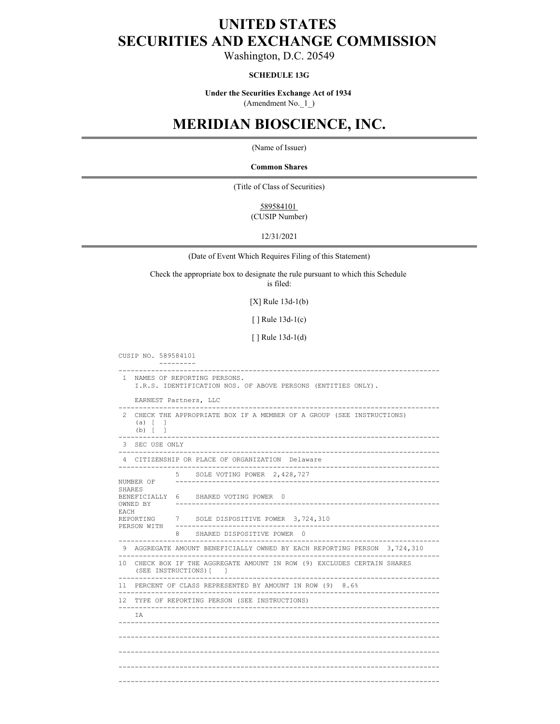## **UNITED STATES SECURITIES AND EXCHANGE COMMISSION**

Washington, D.C. 20549

### **SCHEDULE 13G**

**Under the Securities Exchange Act of 1934**  (Amendment No.\_1\_)

# **MERIDIAN BIOSCIENCE, INC.**

(Name of Issuer)

**Common Shares**

(Title of Class of Securities)

589584101 (CUSIP Number)

12/31/2021

(Date of Event Which Requires Filing of this Statement)

Check the appropriate box to designate the rule pursuant to which this Schedule

is filed:

[X] Rule 13d-1(b)

[ ] Rule 13d-1(c)

[ ] Rule 13d-1(d)

CUSIP NO. 589584101 --------- ------------------------------------------------------------------------------- 1 NAMES OF REPORTING PERSONS. I.R.S. IDENTIFICATION NOS. OF ABOVE PERSONS (ENTITIES ONLY). EARNEST Partners, LLC ------------------------------------------------------------------------------- 2 CHECK THE APPROPRIATE BOX IF A MEMBER OF A GROUP (SEE INSTRUCTIONS) (a)  $\lceil$  1 (a) [ ] (b) [ ] ------------------------------------------------------------------------------- 3 SEC USE ONLY ------------------------------------------------------------------------------- 4 CITIZENSHIP OR PLACE OF ORGANIZATION Delaware ------------------------------------------------------------------------------- 5 SOLE VOTING POWER 2,428,727 NUMBER OF ----------------------------------------------------------------- SHARES BENEFICIALLY 6 SHARED VOTING POWER 0<br>OWNED BY ---------------------------OWNED BY ----------------------------------------------------------------- EACH **Each** REPORTING 7 SOLE DISPOSITIVE POWER 3,724,310 PERSON WITH ----------------------------------------------------------------- 8 SHARED DISPOSITIVE POWER 0 ------------------------------------------------------------------------------- 9 AGGREGATE AMOUNT BENEFICIALLY OWNED BY EACH REPORTING PERSON 3,724,310 ------------------------------------------------------------------------------- 10 CHECK BOX IF THE AGGREGATE AMOUNT IN ROW (9) EXCLUDES CERTAIN SHARES (SEE INSTRUCTIONS)[ ] ------------------------------------------------------------------------------- 11 PERCENT OF CLASS REPRESENTED BY AMOUNT IN ROW (9) 8.6% ------------------------------------------------------------------------------- 12 TYPE OF REPORTING PERSON (SEE INSTRUCTIONS) ------------------------------------------------------------------------------- IA ------------------------------------------------------------------------------- ------------------------------------------------------------------------------- ------------------------------------------------------------------------------- ------------------------------------------------------------------------------- -------------------------------------------------------------------------------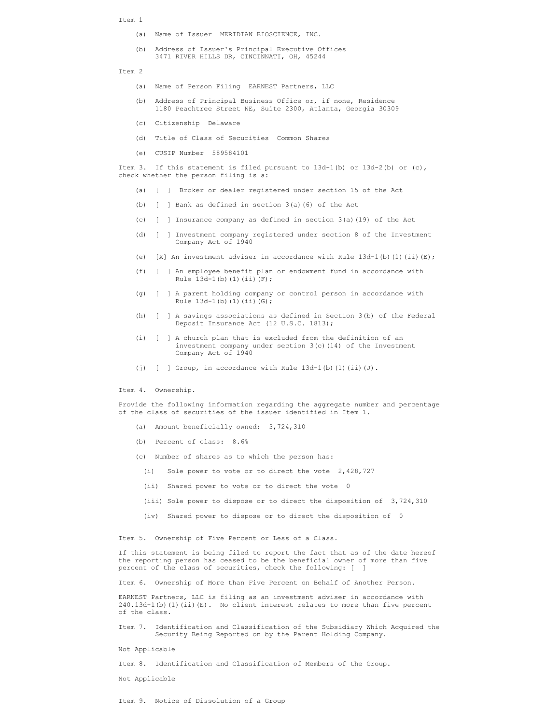#### Item 1 and 1 and 1 and 1 and 1 and 1 and 1 and 1 and 1 and 1 and 1 and 1 and 1 and 1 and 1 and 1 and 1 and 1 and 1 and 1 and 1 and 1 and 1 and 1 and 1 and 1 and 1 and 1 and 1 and 1 and 1 and 1 and 1 and 1 and 1 and 1 and 1

- (a) Name of Issuer MERIDIAN BIOSCIENCE, INC.
- (b) Address of Issuer's Principal Executive Offices 3471 RIVER HILLS DR, CINCINNATI, OH, 45244

Item 2

- (a) Name of Person Filing EARNEST Partners, LLC
- (b) Address of Principal Business Office or, if none, Residence 1180 Peachtree Street NE, Suite 2300, Atlanta, Georgia 30309
- (c) Citizenship Delaware
- (d) Title of Class of Securities Common Shares
- (e) CUSIP Number 589584101

Item 3. If this statement is filed pursuant to 13d-1(b) or 13d-2(b) or (c), check whether the person filing is a:

- (a) [ ] Broker or dealer registered under section 15 of the Act
- (b) [ ] Bank as defined in section 3(a)(6) of the Act
- (c) [ ] Insurance company as defined in section 3(a)(19) of the Act
- (d) [ ] Investment company registered under section 8 of the Investment Company Act of 1940
- (e)  $[X]$  An investment adviser in accordance with Rule 13d-1(b)(1)(ii)(E);
- (f) [ ] An employee benefit plan or endowment fund in accordance with Rule 13d-1(b)(1)(ii)(F);
- (g) [ ] A parent holding company or control person in accordance with Rule  $13d-1(b)$  (1)(ii)(G);
- (h) [ ] A savings associations as defined in Section 3(b) of the Federal Deposit Insurance Act (12 U.S.C. 1813);
- (i) [ ] A church plan that is excluded from the definition of an investment company under section 3(c)(14) of the Investment Company Act of 1940
- (i)  $\begin{bmatrix} 1 & \text{Group} \end{bmatrix}$  in accordance with Rule 13d-1(b)(1)(ii)(J).

Item 4. Ownership.

Provide the following information regarding the aggregate number and percentage of the class of securities of the issuer identified in Item 1.

- (a) Amount beneficially owned: 3,724,310
- (b) Percent of class: 8.6%
- (c) Number of shares as to which the person has:
	- (i) Sole power to vote or to direct the vote 2,428,727
	- (ii) Shared power to vote or to direct the vote 0
	- (iii) Sole power to dispose or to direct the disposition of 3,724,310
	- (iv) Shared power to dispose or to direct the disposition of 0

Item 5. Ownership of Five Percent or Less of a Class.

If this statement is being filed to report the fact that as of the date hereof the reporting person has ceased to be the beneficial owner of more than five percent of the class of securities, check the following: [ ]

Item 6. Ownership of More than Five Percent on Behalf of Another Person.

EARNEST Partners, LLC is filing as an investment adviser in accordance with 240.13d-1(b)(1)(ii)(E). No client interest relates to more than five percent of the class.

Item 7. Identification and Classification of the Subsidiary Which Acquired the Security Being Reported on by the Parent Holding Company.

Not Applicable

Item 8. Identification and Classification of Members of the Group.

Not Applicable